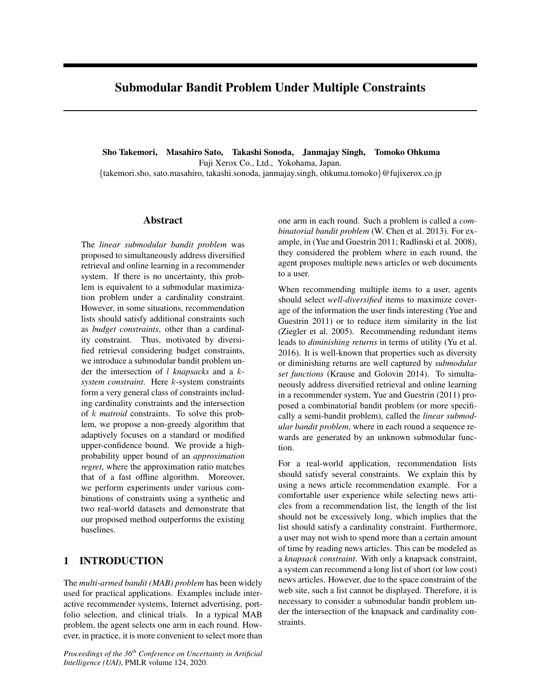# Submodular Bandit Problem Under Multiple Constraints

Sho Takemori, Masahiro Sato, Takashi Sonoda, Janmajay Singh, Tomoko Ohkuma Fuji Xerox Co., Ltd., Yokohama, Japan. {takemori.sho, sato.masahiro, takashi.sonoda, janmajay.singh, ohkuma.tomoko}@fujixerox.co.jp

# Abstract

The *linear submodular bandit problem* was proposed to simultaneously address diversified retrieval and online learning in a recommender system. If there is no uncertainty, this problem is equivalent to a submodular maximization problem under a cardinality constraint. However, in some situations, recommendation lists should satisfy additional constraints such as *budget constraints*, other than a cardinality constraint. Thus, motivated by diversified retrieval considering budget constraints, we introduce a submodular bandit problem under the intersection of l *knapsacks* and a k*system constraint*. Here k-system constraints form a very general class of constraints including cardinality constraints and the intersection of k *matroid* constraints. To solve this problem, we propose a non-greedy algorithm that adaptively focuses on a standard or modified upper-confidence bound. We provide a highprobability upper bound of an *approximation regret*, where the approximation ratio matches that of a fast offline algorithm. Moreover, we perform experiments under various combinations of constraints using a synthetic and two real-world datasets and demonstrate that our proposed method outperforms the existing baselines.

# 1 INTRODUCTION

The *multi-armed bandit (MAB) problem* has been widely used for practical applications. Examples include interactive recommender systems, Internet advertising, portfolio selection, and clinical trials. In a typical MAB problem, the agent selects one arm in each round. However, in practice, it is more convenient to select more than

*Proceedings of the 36th Conference on Uncertainty in Artificial Intelligence (UAI)*, PMLR volume 124, 2020.

one arm in each round. Such a problem is called a *combinatorial bandit problem* (W. Chen et al. 2013). For example, in (Yue and Guestrin 2011; Radlinski et al. 2008), they considered the problem where in each round, the agent proposes multiple news articles or web documents to a user.

When recommending multiple items to a user, agents should select *well-diversified* items to maximize coverage of the information the user finds interesting (Yue and Guestrin 2011) or to reduce item similarity in the list (Ziegler et al. 2005). Recommending redundant items leads to *diminishing returns* in terms of utility (Yu et al. 2016). It is well-known that properties such as diversity or diminishing returns are well captured by *submodular set functions* (Krause and Golovin 2014). To simultaneously address diversified retrieval and online learning in a recommender system, Yue and Guestrin (2011) proposed a combinatorial bandit problem (or more specifically a semi-bandit problem), called the *linear submodular bandit problem*, where in each round a sequence rewards are generated by an unknown submodular function.

For a real-world application, recommendation lists should satisfy several constraints. We explain this by using a news article recommendation example. For a comfortable user experience while selecting news articles from a recommendation list, the length of the list should not be excessively long, which implies that the list should satisfy a cardinality constraint. Furthermore, a user may not wish to spend more than a certain amount of time by reading news articles. This can be modeled as a *knapsack constraint*. With only a knapsack constraint, a system can recommend a long list of short (or low cost) news articles. However, due to the space constraint of the web site, such a list cannot be displayed. Therefore, it is necessary to consider a submodular bandit problem under the intersection of the knapsack and cardinality constraints.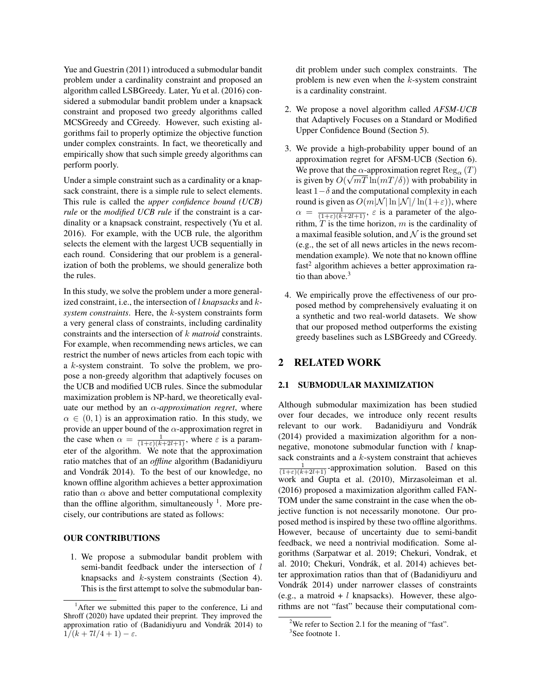Yue and Guestrin (2011) introduced a submodular bandit problem under a cardinality constraint and proposed an algorithm called LSBGreedy. Later, Yu et al. (2016) considered a submodular bandit problem under a knapsack constraint and proposed two greedy algorithms called MCSGreedy and CGreedy. However, such existing algorithms fail to properly optimize the objective function under complex constraints. In fact, we theoretically and empirically show that such simple greedy algorithms can perform poorly.

Under a simple constraint such as a cardinality or a knapsack constraint, there is a simple rule to select elements. This rule is called the *upper confidence bound (UCB) rule* or the *modified UCB rule* if the constraint is a cardinality or a knapsack constraint, respectively (Yu et al. 2016). For example, with the UCB rule, the algorithm selects the element with the largest UCB sequentially in each round. Considering that our problem is a generalization of both the problems, we should generalize both the rules.

In this study, we solve the problem under a more generalized constraint, i.e., the intersection of l *knapsacks* and k*system constraints*. Here, the k-system constraints form a very general class of constraints, including cardinality constraints and the intersection of k *matroid* constraints. For example, when recommending news articles, we can restrict the number of news articles from each topic with a k-system constraint. To solve the problem, we propose a non-greedy algorithm that adaptively focuses on the UCB and modified UCB rules. Since the submodular maximization problem is NP-hard, we theoretically evaluate our method by an α*-approximation regret*, where  $\alpha \in (0, 1)$  is an approximation ratio. In this study, we provide an upper bound of the  $\alpha$ -approximation regret in the case when  $\alpha = \frac{1}{(1+\varepsilon)(k+2l+1)}$ , where  $\varepsilon$  is a parameter of the algorithm. We note that the approximation ratio matches that of an *offline* algorithm (Badanidiyuru and Vondrák 2014). To the best of our knowledge, no known offline algorithm achieves a better approximation ratio than  $\alpha$  above and better computational complexity than the offline algorithm, simultaneously  $<sup>1</sup>$ . More pre-</sup> cisely, our contributions are stated as follows:

#### OUR CONTRIBUTIONS

1. We propose a submodular bandit problem with semi-bandit feedback under the intersection of l knapsacks and k-system constraints (Section 4). This is the first attempt to solve the submodular bandit problem under such complex constraints. The problem is new even when the  $k$ -system constraint is a cardinality constraint.

- 2. We propose a novel algorithm called *AFSM-UCB* that Adaptively Focuses on a Standard or Modified Upper Confidence Bound (Section 5).
- 3. We provide a high-probability upper bound of an approximation regret for AFSM-UCB (Section 6). We prove that the  $\alpha$ -approximation regret  $\text{Reg}_{\alpha}(T)$ is given by  $O(\sqrt{mT \ln(mT/\delta)})$  with probability in least  $1-\delta$  and the computational complexity in each round is given as  $O(m|\mathcal{N}| \ln |\mathcal{N}| / \ln(1+\varepsilon))$ , where  $\alpha = \frac{1}{(1+\epsilon)(k+2l+1)}$ ,  $\varepsilon$  is a parameter of the algorithm,  $T$  is the time horizon,  $m$  is the cardinality of a maximal feasible solution, and  $\mathcal N$  is the ground set (e.g., the set of all news articles in the news recommendation example). We note that no known offline fast<sup>2</sup> algorithm achieves a better approximation ratio than above.<sup>3</sup>
- 4. We empirically prove the effectiveness of our proposed method by comprehensively evaluating it on a synthetic and two real-world datasets. We show that our proposed method outperforms the existing greedy baselines such as LSBGreedy and CGreedy.

### 2 RELATED WORK

### 2.1 SUBMODULAR MAXIMIZATION

Although submodular maximization has been studied over four decades, we introduce only recent results relevant to our work. Badanidiyuru and Vondrák (2014) provided a maximization algorithm for a nonnegative, monotone submodular function with  $l$  knapsack constraints and a  $k$ -system constraint that achieves  $\frac{1}{(1+\epsilon)(k+2l+1)}$ -approximation solution. Based on this work and Gupta et al. (2010), Mirzasoleiman et al. (2016) proposed a maximization algorithm called FAN-TOM under the same constraint in the case when the objective function is not necessarily monotone. Our proposed method is inspired by these two offline algorithms. However, because of uncertainty due to semi-bandit feedback, we need a nontrivial modification. Some algorithms (Sarpatwar et al. 2019; Chekuri, Vondrak, et al. 2010; Chekuri, Vondrák, et al. 2014) achieves better approximation ratios than that of (Badanidiyuru and Vondrák 2014) under narrower classes of constraints (e.g., a matroid +  $l$  knapsacks). However, these algorithms are not "fast" because their computational com-

<sup>&</sup>lt;sup>1</sup>After we submitted this paper to the conference, Li and Shroff (2020) have updated their preprint. They improved the approximation ratio of (Badanidiyuru and Vondrák 2014) to  $1/(k+7l/4+1)-\varepsilon$ .

<sup>&</sup>lt;sup>2</sup>We refer to Section 2.1 for the meaning of "fast".

<sup>&</sup>lt;sup>3</sup>See footnote 1.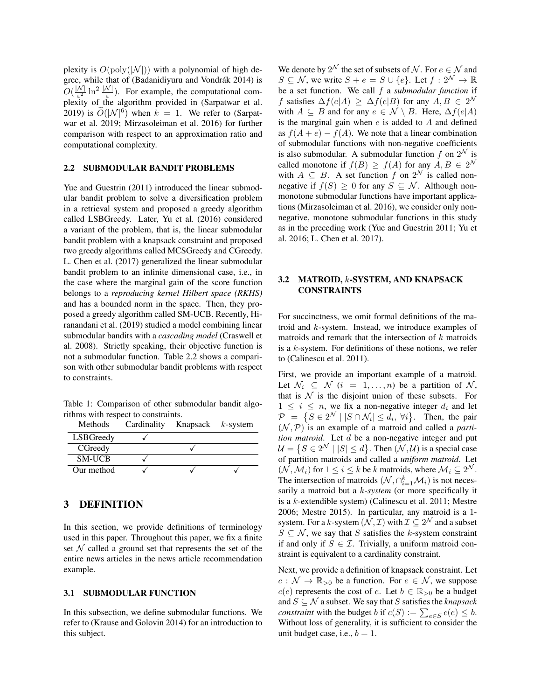plexity is  $O(poly(|\mathcal{N}|))$  with a polynomial of high degree, while that of (Badanidiyuru and Vondrák 2014) is  $O(\frac{|\mathcal{N}|}{\varepsilon^2})$  $\frac{N}{\varepsilon^2} \ln^2 \frac{|N|}{\varepsilon}$ ). For example, the computational complexity of the algorithm provided in (Sarpatwar et al. 2019) is  $\tilde{O}(|\mathcal{N}|^6)$  when  $k = 1$ . We refer to (Sarpatwar et al. 2019; Mirzasoleiman et al. 2016) for further comparison with respect to an approximation ratio and computational complexity.

## 2.2 SUBMODULAR BANDIT PROBLEMS

Yue and Guestrin (2011) introduced the linear submodular bandit problem to solve a diversification problem in a retrieval system and proposed a greedy algorithm called LSBGreedy. Later, Yu et al. (2016) considered a variant of the problem, that is, the linear submodular bandit problem with a knapsack constraint and proposed two greedy algorithms called MCSGreedy and CGreedy. L. Chen et al. (2017) generalized the linear submodular bandit problem to an infinite dimensional case, i.e., in the case where the marginal gain of the score function belongs to a *reproducing kernel Hilbert space (RKHS)* and has a bounded norm in the space. Then, they proposed a greedy algorithm called SM-UCB. Recently, Hiranandani et al. (2019) studied a model combining linear submodular bandits with a *cascading model* (Craswell et al. 2008). Strictly speaking, their objective function is not a submodular function. Table 2.2 shows a comparison with other submodular bandit problems with respect to constraints.

Table 1: Comparison of other submodular bandit algorithms with respect to constraints.

| Methods       | Cardinality Knapsack $k$ -system |  |
|---------------|----------------------------------|--|
| LSBGreedy     |                                  |  |
| CGreedy       |                                  |  |
| <b>SM-UCB</b> |                                  |  |
| Our method    |                                  |  |

# 3 DEFINITION

In this section, we provide definitions of terminology used in this paper. Throughout this paper, we fix a finite set  $N$  called a ground set that represents the set of the entire news articles in the news article recommendation example.

# 3.1 SUBMODULAR FUNCTION

In this subsection, we define submodular functions. We refer to (Krause and Golovin 2014) for an introduction to this subject.

We denote by  $2^{\mathcal{N}}$  the set of subsets of  $\mathcal{N}.$  For  $e \in \mathcal{N}$  and  $S \subseteq \mathcal{N}$ , we write  $S + e = S \cup \{e\}$ . Let  $f : 2^{\mathcal{N}} \to \mathbb{R}$ be a set function. We call f a *submodular function* if f satisfies  $\Delta f(e|A) \geq \Delta f(e|B)$  for any  $A, B \in 2^{\mathcal{N}}$ with  $A \subseteq B$  and for any  $e \in \mathcal{N} \setminus B$ . Here,  $\Delta f(e|A)$ is the marginal gain when  $e$  is added to  $A$  and defined as  $f(A + e) - f(A)$ . We note that a linear combination of submodular functions with non-negative coefficients is also submodular. A submodular function f on  $2^{\mathcal{N}}$  is called monotone if  $f(B) \ge f(A)$  for any  $A, B \in 2^{\mathcal{N}}$ with  $A \subseteq B$ . A set function f on  $2^{\mathcal{N}}$  is called nonnegative if  $f(S) \geq 0$  for any  $S \subseteq \mathcal{N}$ . Although nonmonotone submodular functions have important applications (Mirzasoleiman et al. 2016), we consider only nonnegative, monotone submodular functions in this study as in the preceding work (Yue and Guestrin 2011; Yu et al. 2016; L. Chen et al. 2017).

### 3.2 MATROID, k-SYSTEM, AND KNAPSACK CONSTRAINTS

For succinctness, we omit formal definitions of the matroid and k-system. Instead, we introduce examples of matroids and remark that the intersection of  $k$  matroids is a  $k$ -system. For definitions of these notions, we refer to (Calinescu et al. 2011).

First, we provide an important example of a matroid. Let  $\mathcal{N}_i \subseteq \mathcal{N}$   $(i = 1, \ldots, n)$  be a partition of  $\mathcal{N}_i$ , that is  $N$  is the disjoint union of these subsets. For  $1 \leq i \leq n$ , we fix a non-negative integer  $d_i$  and let  $\mathcal{P} = \{ S \in 2^{\mathcal{N}} \mid |S \cap \mathcal{N}_i| \leq d_i, \forall i \}.$  Then, the pair  $(N, P)$  is an example of a matroid and called a *partition matroid*. Let d be a non-negative integer and put  $\mathcal{U} = \{ S \in 2^{\mathcal{N}} \mid |S| \leq d \}$ . Then  $(\mathcal{N}, \mathcal{U})$  is a special case of partition matroids and called a *uniform matroid*. Let  $(\mathcal{N}, \mathcal{M}_i)$  for  $1 \leq i \leq k$  be k matroids, where  $\mathcal{M}_i \subseteq 2^{\mathcal{N}}$ . The intersection of matroids  $(\mathcal{N}, \cap_{i=1}^k \mathcal{M}_i)$  is not necessarily a matroid but a k*-system* (or more specifically it is a k-extendible system) (Calinescu et al. 2011; Mestre 2006; Mestre 2015). In particular, any matroid is a 1 system. For a k-system  $(\mathcal{N}, \mathcal{I})$  with  $\mathcal{I} \subseteq 2^{\mathcal{N}}$  and a subset  $S \subseteq \mathcal{N}$ , we say that S satisfies the k-system constraint if and only if  $S \in \mathcal{I}$ . Trivially, a uniform matroid constraint is equivalent to a cardinality constraint.

Next, we provide a definition of knapsack constraint. Let  $c : \mathcal{N} \to \mathbb{R}_{>0}$  be a function. For  $e \in \mathcal{N}$ , we suppose  $c(e)$  represents the cost of e. Let  $b \in \mathbb{R}_{>0}$  be a budget and  $S \subseteq \mathcal{N}$  a subset. We say that S satisfies the *knapsack constraint* with the budget *b* if  $c(S) := \sum_{e \in S} c(e) \leq b$ . Without loss of generality, it is sufficient to consider the unit budget case, i.e.,  $b = 1$ .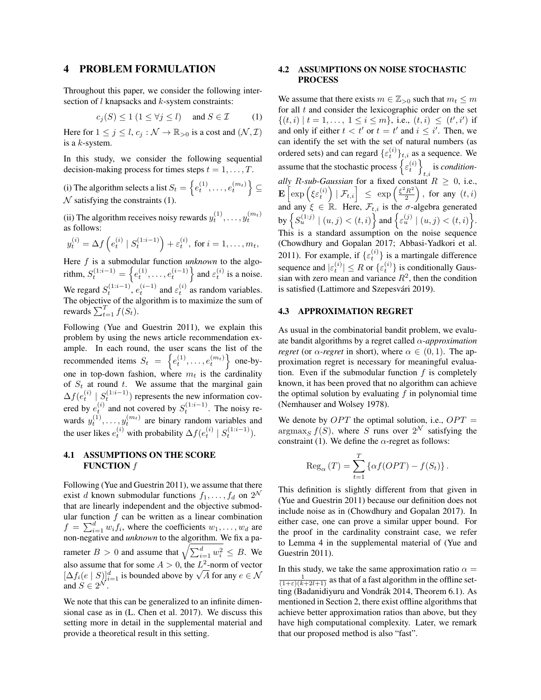### 4 PROBLEM FORMULATION

Throughout this paper, we consider the following intersection of  $l$  knapsacks and  $k$ -system constraints:

$$
c_j(S) \le 1 \ (1 \le \forall j \le l) \quad \text{and } S \in \mathcal{I} \tag{1}
$$

Here for  $1 \leq j \leq l$ ,  $c_j : \mathcal{N} \to \mathbb{R}_{>0}$  is a cost and  $(\mathcal{N}, \mathcal{I})$ is a  $k$ -system.

In this study, we consider the following sequential decision-making process for times steps  $t = 1, \ldots, T$ .

(i) The algorithm selects a list  $S_t = \left\{e_t^{(1)}, \ldots, e_t^{(m_t)}\right\} \subseteq$  $\mathcal N$  satisfying the constraints (1).

(ii) The algorithm receives noisy rewards  $y_t^{(1)}, \ldots, y_t^{(m_t)}$ as follows:

$$
y_t^{(i)} = \Delta f\left(e_t^{(i)} | S_t^{(1:i-1)}\right) + \varepsilon_t^{(i)}, \text{ for } i = 1, ..., m_t,
$$

Here f is a submodular function *unknown* to the algorithm,  $S_t^{(1:i-1)} = \left\{ e_t^{(1)}, \ldots, e_t^{(i-1)} \right\}$  and  $\varepsilon_t^{(i)}$  is a noise. We regard  $S_t^{(1:i-1)}$ ,  $e_t^{(i-1)}$  and  $\varepsilon_t^{(i)}$  as random variables. The objective of the algorithm is to maximize the sum of rewards  $\sum_{t=1}^{T} f(S_t)$ .

Following (Yue and Guestrin 2011), we explain this problem by using the news article recommendation example. In each round, the user scans the list of the recommended items  $S_t = \left\{e_t^{(1)}, \ldots, e_t^{(m_t)}\right\}$  one-byone in top-down fashion, where  $m_t$  is the cardinality of  $S_t$  at round t. We assume that the marginal gain  $\Delta f(e_t^{(i)} \mid S_t^{(1:i-1)})$  represents the new information covered by  $e_t^{(i)}$  and not covered by  $S_t^{(1:i-1)}$ . The noisy rewards  $y_t^{(1)}, \ldots, y_t^{(m_t)}$  are binary random variables and the user likes  $e_t^{(i)}$  with probability  $\Delta f(e_t^{(i)} | S_t^{(1:i-1)})$ .

### 4.1 ASSUMPTIONS ON THE SCORE **FUNCTION**  $f$

Following (Yue and Guestrin 2011), we assume that there exist d known submodular functions  $f_1, \ldots, f_d$  on  $2^N$ that are linearly independent and the objective submodular function  $f$  can be written as a linear combination  $f = \sum_{i=1}^{d} w_i f_i$ , where the coefficients  $w_1, \ldots, w_d$  are non-negative and *unknown* to the algorithm. We fix a parameter  $B > 0$  and assume that  $\sqrt{\sum_{i=1}^d w_i^2} \leq B$ . We also assume that for some  $A > 0$ , the  $L^2$ -norm of vector also assume that for some  $A > 0$ , the L<sup>-</sup>-norm of vector<br> $[\Delta f_i(e \mid S)]_{i=1}^d$  is bounded above by  $\sqrt{A}$  for any  $e \in \mathcal{N}$ and  $S \in 2^{\mathcal{N}}$ .

We note that this can be generalized to an infinite dimensional case as in (L. Chen et al. 2017). We discuss this setting more in detail in the supplemental material and provide a theoretical result in this setting.

### 4.2 ASSUMPTIONS ON NOISE STOCHASTIC PROCESS

We assume that there exists  $m \in \mathbb{Z}_{>0}$  such that  $m_t \leq m$ for all  $t$  and consider the lexicographic order on the set  $\{(t,i) | t = 1, \ldots, 1 \le i \le m\}, \text{ i.e., } (t,i) \le (t',i') \text{ if }$ and only if either  $t < t'$  or  $t = t'$  and  $i \leq i'$ . Then, we can identify the set with the set of natural numbers (as ordered sets) and can regard  $\{\varepsilon_t^{(i)}\}_{t,i}$  as a sequence. We assume that the stochastic process  $\left\{ \varepsilon_t^{(i)} \right\}$ is *conditionally* R-sub-Gaussian for a fixed constant  $R \geq 0$ , i.e.,  $\mathbf{E}\left[\exp\left(\xi\varepsilon_t^{(i)}\right)\mid \mathcal{F}_{t,i}\right] \;\; \leq \;\exp\left(\frac{\xi^2 R^2}{2}\right)$  $\left(\frac{R^2}{2}\right)$ , for any  $(t, i)$ and any  $\xi \in \mathbb{R}$ . Here,  $\mathcal{F}_{t,i}$  is the  $\sigma$ -algebra generated by  $\left\{S_u^{(1:j)} \mid (u,j) < (t,i)\right\}$  and  $\left\{\varepsilon_u^{(j)} \mid (u,j) < (t,i)\right\}$ . This is a standard assumption on the noise sequence (Chowdhury and Gopalan 2017; Abbasi-Yadkori et al. 2011). For example, if  $\{\varepsilon_t^{(i)}\}$  is a martingale difference sequence and  $|\varepsilon_t^{(i)}| \leq R$  or  $\{\varepsilon_t^{(i)}\}$  is conditionally Gaussian with zero mean and variance  $R^2$ , then the condition is satisfied (Lattimore and Szepesvári 2019).

# 4.3 APPROXIMATION REGRET

As usual in the combinatorial bandit problem, we evaluate bandit algorithms by a regret called α*-approximation regret* (or  $\alpha$ -*regret* in short), where  $\alpha \in (0,1)$ . The approximation regret is necessary for meaningful evaluation. Even if the submodular function  $f$  is completely known, it has been proved that no algorithm can achieve the optimal solution by evaluating  $f$  in polynomial time (Nemhauser and Wolsey 1978).

We denote by  $OPT$  the optimal solution, i.e.,  $OPT =$  $\argmax_S f(S)$ , where S runs over  $2^N$  satisfying the constraint (1). We define the  $\alpha$ -regret as follows:

$$
\operatorname{Reg}_{\alpha}(T) = \sum_{t=1}^{T} \{ \alpha f(OPT) - f(S_t) \}.
$$

This definition is slightly different from that given in (Yue and Guestrin 2011) because our definition does not include noise as in (Chowdhury and Gopalan 2017). In either case, one can prove a similar upper bound. For the proof in the cardinality constraint case, we refer to Lemma 4 in the supplemental material of (Yue and Guestrin 2011).

In this study, we take the same approximation ratio  $\alpha =$  $\frac{1}{(1+\epsilon)(k+2l+1)}$  as that of a fast algorithm in the offline setting (Badanidiyuru and Vondrák 2014, Theorem 6.1). As mentioned in Section 2, there exist offline algorithms that achieve better approximation ratios than above, but they have high computational complexity. Later, we remark that our proposed method is also "fast".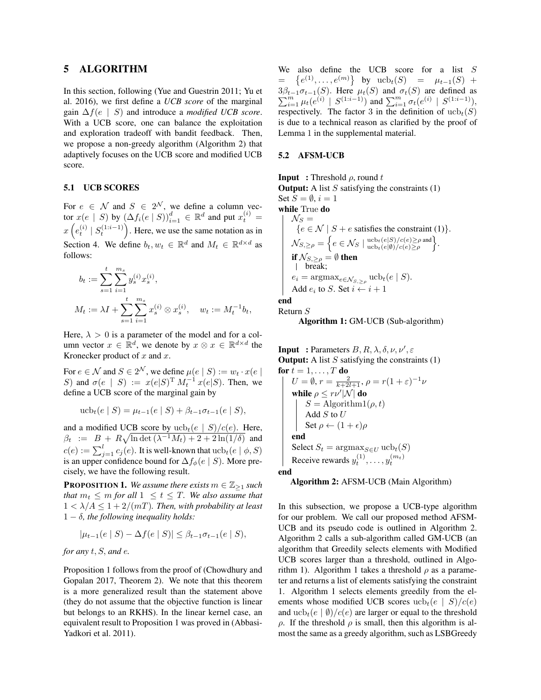### 5 ALGORITHM

In this section, following (Yue and Guestrin 2011; Yu et al. 2016), we first define a *UCB score* of the marginal gain ∆f(e | S) and introduce a *modified UCB score*. With a UCB score, one can balance the exploitation and exploration tradeoff with bandit feedback. Then, we propose a non-greedy algorithm (Algorithm 2) that adaptively focuses on the UCB score and modified UCB score.

### 5.1 UCB SCORES

For  $e \in \mathcal{N}$  and  $S \in 2^{\mathcal{N}}$ , we define a column vector  $x(e \mid S)$  by  $(\Delta f_i(e \mid S))_{i=1}^d \in \mathbb{R}^d$  and put  $x_t^{(i)} =$  $x\left(e_t^{(i)} \mid S_t^{(1:i-1)}\right)$ . Here, we use the same notation as in Section 4. We define  $b_t, w_t \in \mathbb{R}^d$  and  $M_t \in \mathbb{R}^{d \times d}$  as follows:

$$
b_t := \sum_{s=1}^t \sum_{i=1}^{m_s} y_s^{(i)} x_s^{(i)},
$$
  

$$
M_t := \lambda I + \sum_{s=1}^t \sum_{i=1}^{m_s} x_s^{(i)} \otimes x_s^{(i)}, \quad w_t := M_t^{-1} b_t,
$$

Here,  $\lambda > 0$  is a parameter of the model and for a column vector  $x \in \mathbb{R}^d$ , we denote by  $x \otimes x \in \mathbb{R}^{d \times d}$  the Kronecker product of  $x$  and  $x$ .

For  $e \in \mathcal{N}$  and  $S \in 2^{\mathcal{N}}$ , we define  $\mu(e \mid S) := w_t \cdot x(e \mid S)$ S) and  $\sigma(e \mid S) := x(e|S)^{\mathrm{T}} M_t^{-1} x(e|S)$ . Then, we define a UCB score of the marginal gain by

$$
\operatorname{ucb}_t(e \mid S) = \mu_{t-1}(e \mid S) + \beta_{t-1}\sigma_{t-1}(e \mid S),
$$

and a modified UCB score by  $ucb_t(e | S)/c(e)$ . Here,  $\beta_t$  :=  $B + R\sqrt{\ln \det(\lambda^{-1}M_t) + 2 + 2\ln(1/\delta)}$  and  $c(e) := \sum_{j=1}^l c_j(e).$  It is well-known that  $\mathrm{ucb}_t(e \mid \phi, S)$ is an upper confidence bound for  $\Delta f_{\phi}(e \mid S)$ . More precisely, we have the following result.

**PROPOSITION 1.** *We assume there exists*  $m \in \mathbb{Z}_{\geq 1}$  *such that*  $m_t \leq m$  *for all*  $1 \leq t \leq T$ *. We also assume that*  $1 < \lambda/A \leq 1 + 2/(mT)$ . Then, with probability at least 1 − δ*, the following inequality holds:*

$$
|\mu_{t-1}(e \mid S) - \Delta f(e \mid S)| \le \beta_{t-1} \sigma_{t-1}(e \mid S),
$$

### *for any* t, S, *and* e*.*

Proposition 1 follows from the proof of (Chowdhury and Gopalan 2017, Theorem 2). We note that this theorem is a more generalized result than the statement above (they do not assume that the objective function is linear but belongs to an RKHS). In the linear kernel case, an equivalent result to Proposition 1 was proved in (Abbasi-Yadkori et al. 2011).

We also define the UCB score for a list S =  $\{e^{(1)}, \ldots, e^{(m)}\}$  by  $\text{ucb}_t(S) = \mu_{t-1}(S) +$  $\sum$  $3\beta_{t-1}\sigma_{t-1}(S)$ . Here  $\mu_t(S)$  and  $\sigma_t(S)$  are defined as  $\sum_{i=1}^m \mu_t(e^{(i)} \mid S^{(1:i-1)})$  and  $\sum_{i=1}^m \sigma_t(e^{(i)} \mid S^{(1:i-1)})$ , respectively. The factor 3 in the definition of  $ucb_t(S)$ is due to a technical reason as clarified by the proof of Lemma 1 in the supplemental material.

#### 5.2 AFSM-UCB

**Input** : Threshold  $\rho$ , round t **Output:** A list  $S$  satisfying the constraints  $(1)$ Set  $S = \emptyset$ ,  $i = 1$ while True do  $\mathcal{N}_S =$  ${e \in \mathcal{N} \mid S + e \text{ satisfies the constraint (1)}}.$  $\mathcal{N}_{S,\geq\rho} = \bigg\{ e \in \mathcal{N}_S \mid \frac{\text{ucb}_t(e|S)/c(e) \geq \rho \text{ and }}{\text{ucb}_t(e|\emptyset)/c(e) \geq \rho}}\bigg\}.$ if  $\mathcal{N}_{S,\geq\rho} \stackrel{\sim}{=} \emptyset$  then break;  $e_i = \text{argmax}_{e \in \mathcal{N}_{S, \geq \rho}} \text{ucb}_t(e \mid S).$ Add  $e_i$  to S. Set  $i \leftarrow i + 1$ end

Return S

Algorithm 1: GM-UCB (Sub-algorithm)

**Input** : Parameters  $B, R, \lambda, \delta, \nu, \nu', \varepsilon$ **Output:** A list  $S$  satisfying the constraints  $(1)$ for  $t = 1, \ldots, T$  do  $U = \emptyset$ ,  $r = \frac{2}{k+2l+1}$ ,  $\rho = r(1+\varepsilon)^{-1}\nu$ while  $\rho \leq r\nu'|\mathcal{N}|$  do  $S = \text{Algorithm1}(\rho, t)$ Add  $S$  to  $U$ Set  $\rho \leftarrow (1 + \epsilon)\rho$ end Select  $S_t = \operatorname{argmax}_{S \in U} \operatorname{ucb}_t(S)$ Receive rewards  $y_t^{(1)}, \ldots, y_t^{(m_t)}$ end

Algorithm 2: AFSM-UCB (Main Algorithm)

In this subsection, we propose a UCB-type algorithm for our problem. We call our proposed method AFSM-UCB and its pseudo code is outlined in Algorithm 2. Algorithm 2 calls a sub-algorithm called GM-UCB (an algorithm that Greedily selects elements with Modified UCB scores larger than a threshold, outlined in Algorithm 1). Algorithm 1 takes a threshold  $\rho$  as a parameter and returns a list of elements satisfying the constraint 1. Algorithm 1 selects elements greedily from the elements whose modified UCB scores  $ucb_t(e | S)/c(e)$ and  $ucb_t(e | \emptyset)/c(e)$  are larger or equal to the threshold ρ. If the threshold ρ is small, then this algorithm is almost the same as a greedy algorithm, such as LSBGreedy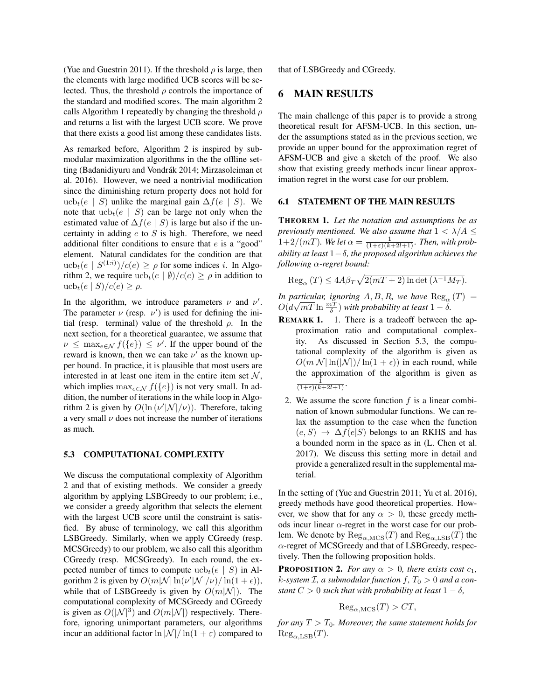(Yue and Guestrin 2011). If the threshold  $\rho$  is large, then the elements with large modified UCB scores will be selected. Thus, the threshold  $\rho$  controls the importance of the standard and modified scores. The main algorithm 2 calls Algorithm 1 repeatedly by changing the threshold  $\rho$ and returns a list with the largest UCB score. We prove that there exists a good list among these candidates lists.

As remarked before, Algorithm 2 is inspired by submodular maximization algorithms in the the offline setting (Badanidiyuru and Vondrák 2014; Mirzasoleiman et al. 2016). However, we need a nontrivial modification since the diminishing return property does not hold for ucb<sub>t</sub>(e | S) unlike the marginal gain  $\Delta f(e \mid S)$ . We note that  $ucb_t(e | S)$  can be large not only when the estimated value of  $\Delta f(e \mid S)$  is large but also if the uncertainty in adding  $e$  to  $S$  is high. Therefore, we need additional filter conditions to ensure that  $e$  is a "good" element. Natural candidates for the condition are that  $ucb_t(e | S^{(1:i)})/c(e) \ge \rho$  for some indices *i*. In Algorithm 2, we require  $\text{ucb}_t(e | \emptyset)/c(e) \ge \rho$  in addition to ucb<sub>t</sub> $(e \mid S)/c(e) \geq \rho$ .

In the algorithm, we introduce parameters  $\nu$  and  $\nu'$ . The parameter  $\nu$  (resp.  $\nu'$ ) is used for defining the initial (resp. terminal) value of the threshold  $\rho$ . In the next section, for a theoretical guarantee, we assume that  $\nu \leq \max_{e \in \mathcal{N}} f(\{e\}) \leq \nu'$ . If the upper bound of the reward is known, then we can take  $\nu'$  as the known upper bound. In practice, it is plausible that most users are interested in at least one item in the entire item set  $N$ , which implies  $\max_{e \in \mathcal{N}} f(\{e\})$  is not very small. In addition, the number of iterations in the while loop in Algorithm 2 is given by  $O(\ln (\nu' |\mathcal{N}|/\nu))$ . Therefore, taking a very small  $\nu$  does not increase the number of iterations as much.

#### 5.3 COMPUTATIONAL COMPLEXITY

We discuss the computational complexity of Algorithm 2 and that of existing methods. We consider a greedy algorithm by applying LSBGreedy to our problem; i.e., we consider a greedy algorithm that selects the element with the largest UCB score until the constraint is satisfied. By abuse of terminology, we call this algorithm LSBGreedy. Similarly, when we apply CGreedy (resp. MCSGreedy) to our problem, we also call this algorithm CGreedy (resp. MCSGreedy). In each round, the expected number of times to compute  $ucb_t(e | S)$  in Algorithm 2 is given by  $O(m|\mathcal{N}| \ln(\nu'|\mathcal{N}|/\nu) / \ln(1+\epsilon)),$ while that of LSBGreedy is given by  $O(m|\mathcal{N}|)$ . The computational complexity of MCSGreedy and CGreedy is given as  $O(|\mathcal{N}|^3)$  and  $O(m|\mathcal{N}|)$  respectively. Therefore, ignoring unimportant parameters, our algorithms incur an additional factor  $\ln |\mathcal{N}| / \ln(1+\varepsilon)$  compared to that of LSBGreedy and CGreedy.

# 6 MAIN RESULTS

The main challenge of this paper is to provide a strong theoretical result for AFSM-UCB. In this section, under the assumptions stated as in the previous section, we provide an upper bound for the approximation regret of AFSM-UCB and give a sketch of the proof. We also show that existing greedy methods incur linear approximation regret in the worst case for our problem.

### 6.1 STATEMENT OF THE MAIN RESULTS

THEOREM 1. *Let the notation and assumptions be as previously mentioned. We also assume that*  $1 < \lambda/A \leq$  $1+2/(mT)$ *. We let*  $\alpha = \frac{1}{(1+\varepsilon)(k+2l+1)}$ *. Then, with probability at least* 1−δ*, the proposed algorithm achieves the following* α*-regret bound:*

 $\text{Reg}_{\alpha}(T) \leq 4A\beta_T\sqrt{2(mT+2)\ln\det(\lambda^{-1}M_T)}.$ 

*In particular, ignoring*  $A, B, R$ *, we have*  $\text{Reg}_{\alpha}(T)$  =  $O(d$ articular, ignoring A, B, R, we have  $\text{Reg}_{\alpha}$ <br> $\sqrt{mT} \ln \frac{mT}{\delta}$ ) with probability at least  $1 - \delta$ .

- **REMARK 1.** 1. There is a tradeoff between the approximation ratio and computational complexity. As discussed in Section 5.3, the computational complexity of the algorithm is given as  $O(m|\mathcal{N}| \ln(|\mathcal{N}|)/\ln(1+\epsilon))$  in each round, while the approximation of the algorithm is given as  $\frac{1}{(1+\varepsilon)(k+2l+1)}$ .
	- 2. We assume the score function  $f$  is a linear combination of known submodular functions. We can relax the assumption to the case when the function  $(e, S) \rightarrow \Delta f(e|S)$  belongs to an RKHS and has a bounded norm in the space as in (L. Chen et al. 2017). We discuss this setting more in detail and provide a generalized result in the supplemental material.

In the setting of (Yue and Guestrin 2011; Yu et al. 2016), greedy methods have good theoretical properties. However, we show that for any  $\alpha > 0$ , these greedy methods incur linear  $\alpha$ -regret in the worst case for our problem. We denote by  $\text{Reg}_{\alpha,\text{MCS}}(T)$  and  $\text{Reg}_{\alpha,\text{LSB}}(T)$  the α-regret of MCSGreedy and that of LSBGreedy, respectively. Then the following proposition holds.

**PROPOSITION 2.** *For any*  $\alpha > 0$ *, there exists cost*  $c_1$ *,*  $k$ -system  $\mathcal{I}$ , a submodular function  $f$ ,  $T_0 > 0$  and a con*stant*  $C > 0$  *such that with probability at least*  $1 - \delta$ *,* 

$$
Reg_{\alpha, \text{MCS}}(T) > CT,
$$

*for any*  $T > T_0$ *. Moreover, the same statement holds for*  $\text{Reg}_{\alpha\text{-LSB}}(T)$ .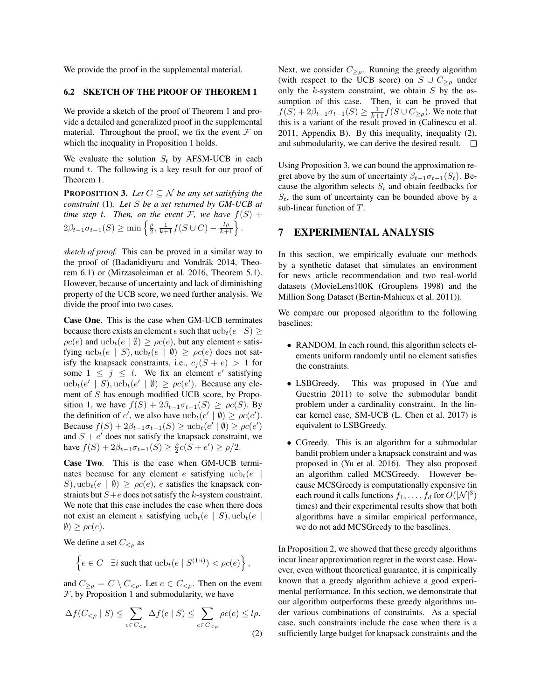We provide the proof in the supplemental material.

### 6.2 SKETCH OF THE PROOF OF THEOREM 1

We provide a sketch of the proof of Theorem 1 and provide a detailed and generalized proof in the supplemental material. Throughout the proof, we fix the event  $\mathcal F$  on which the inequality in Proposition 1 holds.

We evaluate the solution  $S_t$  by AFSM-UCB in each round  $t$ . The following is a key result for our proof of Theorem 1.

**PROPOSITION 3.** Let  $C \subseteq \mathcal{N}$  be any set satisfying the *constraint* (1)*. Let* S *be a set returned by GM-UCB at time step t. Then, on the event*  $\mathcal{F}$ *, we have*  $f(S)$  +  $2\beta_{t-1}\sigma_{t-1}(S) \ge \min\left\{\frac{\rho}{2},\frac{1}{k+1}f(S\cup C) - \frac{l\rho}{k+1}\right\}.$ 

*sketch of proof.* This can be proved in a similar way to the proof of (Badanidiyuru and Vondrák 2014, Theorem 6.1) or (Mirzasoleiman et al. 2016, Theorem 5.1). However, because of uncertainty and lack of diminishing property of the UCB score, we need further analysis. We divide the proof into two cases.

Case One. This is the case when GM-UCB terminates because there exists an element e such that  $\text{ucb}_t(e | S) \geq$  $\rho c(e)$  and  $ucb_t(e | \emptyset) \ge \rho c(e)$ , but any element e satisfying  $ucb_t(e | S)$ ,  $ucb_t(e | \emptyset) \ge \rho c(e)$  does not satisfy the knapsack constraints, i.e.,  $c_j (S + e) > 1$  for some  $1 \leq j \leq l$ . We fix an element e' satisfying  $ucb_t(e' | S), ucb_t(e' | \emptyset) \ge \rho c(e')$ . Because any element of S has enough modified UCB score, by Proposition 1, we have  $f(S) + 2\beta_{t-1}\sigma_{t-1}(S) \ge \rho c(S)$ . By the definition of e', we also have  $ucb_t(e' | \emptyset) \ge \rho c(e')$ . Because  $f(S) + 2\beta_{t-1}\sigma_{t-1}(S) \ge \text{ucb}_t(e' \mid \emptyset) \ge \rho c(e')$ and  $S + e'$  does not satisfy the knapsack constraint, we have  $f(S) + 2\beta_{t-1}\sigma_{t-1}(S) \ge \frac{\rho}{2}c(S + e') \ge \rho/2$ .

Case Two. This is the case when GM-UCB terminates because for any element e satisfying  $ucb_t(e)$ S),  $ucb_t(e | \emptyset) \ge \rho c(e)$ , e satisfies the knapsack constraints but  $S+e$  does not satisfy the k-system constraint. We note that this case includes the case when there does not exist an element e satisfying  $ucb_t(e | S)$ ,  $ucb_t(e |$  $\emptyset$ )  $\geq \rho c(e)$ .

We define a set  $C_{< o}$  as

$$
\left\{e \in C \mid \exists i \text{ such that } \mathrm{ucb}_t(e \mid S^{(1:i)}) < \rho c(e)\right\},\
$$

and  $C_{\geq \rho} = C \setminus C_{\leq \rho}$ . Let  $e \in C_{\leq \rho}$ . Then on the event  $F$ , by Proposition 1 and submodularity, we have

$$
\Delta f(C_{\leq \rho} \mid S) \leq \sum_{e \in C_{\leq \rho}} \Delta f(e \mid S) \leq \sum_{e \in C_{\leq \rho}} \rho c(e) \leq l\rho.
$$
\n(2)

Next, we consider  $C_{\geq \rho}$ . Running the greedy algorithm (with respect to the UCB score) on  $S \cup C_{\geq \rho}$  under only the  $k$ -system constraint, we obtain  $S$  by the assumption of this case. Then, it can be proved that  $f(S) + 2\beta_{t-1}\sigma_{t-1}(S) \ge \frac{1}{k+1}f(S \cup C_{\ge \rho}).$  We note that this is a variant of the result proved in (Calinescu et al. 2011, Appendix B). By this inequality, inequality (2), and submodularity, we can derive the desired result.  $\Box$ 

Using Proposition 3, we can bound the approximation regret above by the sum of uncertainty  $\beta_{t-1}\sigma_{t-1}(S_t)$ . Because the algorithm selects  $S_t$  and obtain feedbacks for  $S_t$ , the sum of uncertainty can be bounded above by a sub-linear function of T.

# 7 EXPERIMENTAL ANALYSIS

In this section, we empirically evaluate our methods by a synthetic dataset that simulates an environment for news article recommendation and two real-world datasets (MovieLens100K (Grouplens 1998) and the Million Song Dataset (Bertin-Mahieux et al. 2011)).

We compare our proposed algorithm to the following baselines:

- RANDOM. In each round, this algorithm selects elements uniform randomly until no element satisfies the constraints.
- LSBGreedy. This was proposed in (Yue and Guestrin 2011) to solve the submodular bandit problem under a cardinality constraint. In the linear kernel case, SM-UCB (L. Chen et al. 2017) is equivalent to LSBGreedy.
- CGreedy. This is an algorithm for a submodular bandit problem under a knapsack constraint and was proposed in (Yu et al. 2016). They also proposed an algorithm called MCSGreedy. However because MCSGreedy is computationally expensive (in each round it calls functions  $f_1, \ldots, f_d$  for  $O(|\mathcal{N}|^3)$ times) and their experimental results show that both algorithms have a similar empirical performance, we do not add MCSGreedy to the baselines.

In Proposition 2, we showed that these greedy algorithms incur linear approximation regret in the worst case. However, even without theoretical guarantee, it is empirically known that a greedy algorithm achieve a good experimental performance. In this section, we demonstrate that our algorithm outperforms these greedy algorithms under various combinations of constraints. As a special case, such constraints include the case when there is a sufficiently large budget for knapsack constraints and the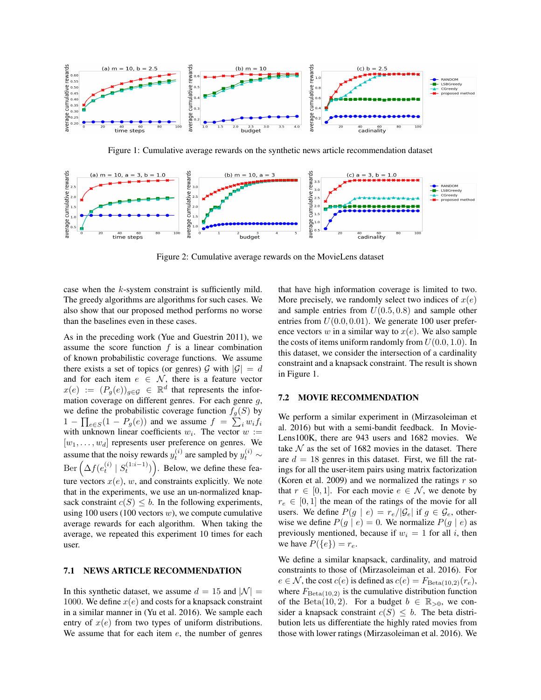

Figure 1: Cumulative average rewards on the synthetic news article recommendation dataset



Figure 2: Cumulative average rewards on the MovieLens dataset

case when the k-system constraint is sufficiently mild. The greedy algorithms are algorithms for such cases. We also show that our proposed method performs no worse than the baselines even in these cases.

As in the preceding work (Yue and Guestrin 2011), we assume the score function  $f$  is a linear combination of known probabilistic coverage functions. We assume there exists a set of topics (or genres)  $\mathcal G$  with  $|\mathcal G|=d$ and for each item  $e \in \mathcal{N}$ , there is a feature vector  $x(e) := (P_g(e))_{g \in \mathcal{G}} \in \mathbb{R}^d$  that represents the information coverage on different genres. For each genre g, we define the probabilistic coverage function  $f_g(S)$  by  $1 - \prod_{e \in S} (1 - P_g(e))$  and we assume  $f = \sum_i w_i f_i$ with unknown linear coefficients  $w_i$ . The vector  $w :=$  $[w_1, \ldots, w_d]$  represents user preference on genres. We assume that the noisy rewards  $y_t^{(i)}$  are sampled by  $y_t^{(i)} \sim$  $\text{Ber}\left(\Delta f(e_t^{(i)} \mid S_t^{(1:i-1)})\right)$ . Below, we define these feature vectors  $x(e)$ , w, and constraints explicitly. We note that in the experiments, we use an un-normalized knapsack constraint  $c(S) \leq b$ . In the following experiments, using 100 users (100 vectors  $w$ ), we compute cumulative average rewards for each algorithm. When taking the average, we repeated this experiment 10 times for each user.

### 7.1 NEWS ARTICLE RECOMMENDATION

In this synthetic dataset, we assume  $d = 15$  and  $|\mathcal{N}| =$ 1000. We define  $x(e)$  and costs for a knapsack constraint in a similar manner in (Yu et al. 2016). We sample each entry of  $x(e)$  from two types of uniform distributions. We assume that for each item  $e$ , the number of genres that have high information coverage is limited to two. More precisely, we randomly select two indices of  $x(e)$ and sample entries from  $U(0.5, 0.8)$  and sample other entries from  $U(0.0, 0.01)$ . We generate 100 user preference vectors  $w$  in a similar way to  $x(e)$ . We also sample the costs of items uniform randomly from  $U(0.0, 1.0)$ . In this dataset, we consider the intersection of a cardinality constraint and a knapsack constraint. The result is shown in Figure 1.

#### 7.2 MOVIE RECOMMENDATION

We perform a similar experiment in (Mirzasoleiman et al. 2016) but with a semi-bandit feedback. In Movie-Lens100K, there are 943 users and 1682 movies. We take  $N$  as the set of 1682 movies in the dataset. There are  $d = 18$  genres in this dataset. First, we fill the ratings for all the user-item pairs using matrix factorization (Koren et al. 2009) and we normalized the ratings  $r$  so that  $r \in [0, 1]$ . For each movie  $e \in \mathcal{N}$ , we denote by  $r_e \in [0, 1]$  the mean of the ratings of the movie for all users. We define  $P(g \mid e) = r_e / |\mathcal{G}_e|$  if  $g \in \mathcal{G}_e$ , otherwise we define  $P(g \mid e) = 0$ . We normalize  $P(g \mid e)$  as previously mentioned, because if  $w_i = 1$  for all i, then we have  $P({e}) = r_e$ .

We define a similar knapsack, cardinality, and matroid constraints to those of (Mirzasoleiman et al. 2016). For  $e \in \mathcal{N}$ , the cost  $c(e)$  is defined as  $c(e) = F_{\text{Beta}(10,2)}(r_e)$ , where  $F_{\text{Beta}(10,2)}$  is the cumulative distribution function of the Beta(10, 2). For a budget  $b \in \mathbb{R}_{>0}$ , we consider a knapsack constraint  $c(S) \leq b$ . The beta distribution lets us differentiate the highly rated movies from those with lower ratings (Mirzasoleiman et al. 2016). We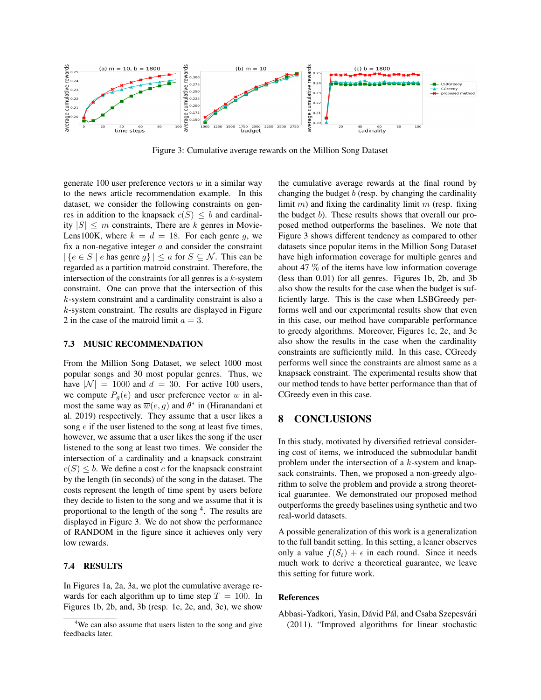

Figure 3: Cumulative average rewards on the Million Song Dataset

generate 100 user preference vectors  $w$  in a similar way to the news article recommendation example. In this dataset, we consider the following constraints on genres in addition to the knapsack  $c(S) \leq b$  and cardinality  $|S| \leq m$  constraints, There are k genres in Movie-Lens100K, where  $k = d = 18$ . For each genre g, we fix a non-negative integer  $a$  and consider the constraint  $|\{e \in S \mid e \text{ has genre } g\}| \leq a \text{ for } S \subseteq \mathcal{N}$ . This can be regarded as a partition matroid constraint. Therefore, the intersection of the constraints for all genres is a  $k$ -system constraint. One can prove that the intersection of this k-system constraint and a cardinality constraint is also a  $k$ -system constraint. The results are displayed in Figure 2 in the case of the matroid limit  $a = 3$ .

#### 7.3 MUSIC RECOMMENDATION

From the Million Song Dataset, we select 1000 most popular songs and 30 most popular genres. Thus, we have  $|\mathcal{N}| = 1000$  and  $d = 30$ . For active 100 users, we compute  $P_q(e)$  and user preference vector w in almost the same way as  $\overline{w}(e, g)$  and  $\theta^*$  in (Hiranandani et al. 2019) respectively. They assume that a user likes a song  $e$  if the user listened to the song at least five times, however, we assume that a user likes the song if the user listened to the song at least two times. We consider the intersection of a cardinality and a knapsack constraint  $c(S) \leq b$ . We define a cost c for the knapsack constraint by the length (in seconds) of the song in the dataset. The costs represent the length of time spent by users before they decide to listen to the song and we assume that it is proportional to the length of the song <sup>4</sup>. The results are displayed in Figure 3. We do not show the performance of RANDOM in the figure since it achieves only very low rewards.

#### 7.4 RESULTS

In Figures 1a, 2a, 3a, we plot the cumulative average rewards for each algorithm up to time step  $T = 100$ . In Figures 1b, 2b, and, 3b (resp. 1c, 2c, and, 3c), we show the cumulative average rewards at the final round by changing the budget  $b$  (resp. by changing the cardinality limit  $m$ ) and fixing the cardinality limit  $m$  (resp. fixing the budget b). These results shows that overall our proposed method outperforms the baselines. We note that Figure 3 shows different tendency as compared to other datasets since popular items in the Million Song Dataset have high information coverage for multiple genres and about 47 % of the items have low information coverage (less than 0.01) for all genres. Figures 1b, 2b, and 3b also show the results for the case when the budget is sufficiently large. This is the case when LSBGreedy performs well and our experimental results show that even in this case, our method have comparable performance to greedy algorithms. Moreover, Figures 1c, 2c, and 3c also show the results in the case when the cardinality constraints are sufficiently mild. In this case, CGreedy performs well since the constraints are almost same as a knapsack constraint. The experimental results show that our method tends to have better performance than that of CGreedy even in this case.

# 8 CONCLUSIONS

In this study, motivated by diversified retrieval considering cost of items, we introduced the submodular bandit problem under the intersection of a  $k$ -system and knapsack constraints. Then, we proposed a non-greedy algorithm to solve the problem and provide a strong theoretical guarantee. We demonstrated our proposed method outperforms the greedy baselines using synthetic and two real-world datasets.

A possible generalization of this work is a generalization to the full bandit setting. In this setting, a leaner observes only a value  $f(S_t) + \epsilon$  in each round. Since it needs much work to derive a theoretical guarantee, we leave this setting for future work.

#### References

Abbasi-Yadkori, Yasin, Dávid Pál, and Csaba Szepesvári (2011). "Improved algorithms for linear stochastic

<sup>&</sup>lt;sup>4</sup>We can also assume that users listen to the song and give feedbacks later.